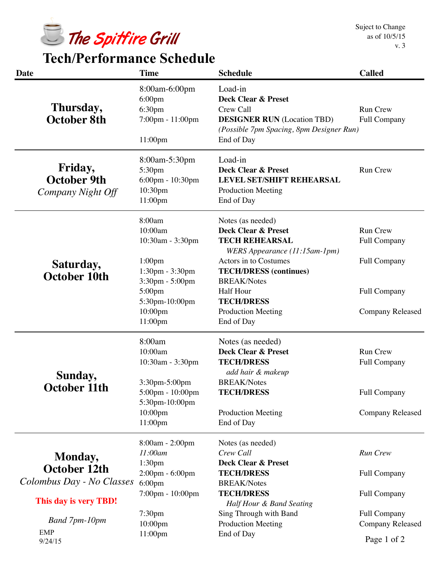

 **Tech/Performance Schedule**

| <b>Date</b>                                        | <b>Time</b>                                                                                                        | <b>Schedule</b>                                                                                                                                                                     | <b>Called</b>                                                       |
|----------------------------------------------------|--------------------------------------------------------------------------------------------------------------------|-------------------------------------------------------------------------------------------------------------------------------------------------------------------------------------|---------------------------------------------------------------------|
| Thursday,<br>October 8th                           | 8:00am-6:00pm<br>$6:00 \text{pm}$<br>6:30pm<br>7:00pm - 11:00pm<br>11:00pm                                         | Load-in<br><b>Deck Clear &amp; Preset</b><br>Crew Call<br><b>DESIGNER RUN</b> (Location TBD)<br>(Possible 7pm Spacing, 8pm Designer Run)<br>End of Day                              | <b>Run Crew</b><br>Full Company                                     |
| Friday,<br><b>October 9th</b><br>Company Night Off | 8:00am-5:30pm<br>5:30pm<br>6:00pm - 10:30pm<br>10:30pm<br>11:00pm                                                  | Load-in<br><b>Deck Clear &amp; Preset</b><br><b>LEVEL SET/SHIFT REHEARSAL</b><br><b>Production Meeting</b><br>End of Day                                                            | Run Crew                                                            |
| Saturday,<br><b>October 10th</b>                   | 8:00am<br>10:00am<br>10:30am - 3:30pm<br>1:00 <sub>pm</sub>                                                        | Notes (as needed)<br><b>Deck Clear &amp; Preset</b><br><b>TECH REHEARSAL</b><br>WERS Appearance (11:15am-1pm)<br>Actors in to Costumes                                              | <b>Run Crew</b><br>Full Company<br><b>Full Company</b>              |
|                                                    | 1:30pm - 3:30pm<br>3:30pm - 5:00pm<br>5:00pm<br>5:30pm-10:00pm<br>10:00pm<br>11:00pm                               | <b>TECH/DRESS</b> (continues)<br><b>BREAK/Notes</b><br>Half Hour<br><b>TECH/DRESS</b><br><b>Production Meeting</b><br>End of Day                                                    | <b>Full Company</b><br><b>Company Released</b>                      |
| Sunday,<br>October 11th                            | 8:00am<br>10:00am<br>10:30am - 3:30pm<br>3:30pm-5:00pm<br>5:00pm - 10:00pm<br>5:30pm-10:00pm<br>10:00pm<br>11:00pm | Notes (as needed)<br><b>Deck Clear &amp; Preset</b><br><b>TECH/DRESS</b><br>add hair & makeup<br><b>BREAK/Notes</b><br><b>TECH/DRESS</b><br><b>Production Meeting</b><br>End of Day | Run Crew<br>Full Company<br>Full Company<br><b>Company Released</b> |
| Monday,<br><b>October 12th</b>                     | 8:00am - 2:00pm<br>11:00am<br>1:30 <sub>pm</sub><br>2:00pm - 6:00pm                                                | Notes (as needed)<br>Crew Call<br><b>Deck Clear &amp; Preset</b><br><b>TECH/DRESS</b>                                                                                               | Run Crew<br><b>Full Company</b>                                     |
| Colombus Day - No Classes<br>This day is very TBD! | $6:00 \text{pm}$<br>7:00pm - 10:00pm                                                                               | <b>BREAK/Notes</b><br><b>TECH/DRESS</b><br>Half Hour & Band Seating                                                                                                                 | <b>Full Company</b>                                                 |
| Band 7pm-10pm<br><b>EMP</b><br>9/24/15             | 7:30pm<br>10:00pm<br>11:00pm                                                                                       | Sing Through with Band<br><b>Production Meeting</b><br>End of Day                                                                                                                   | Full Company<br><b>Company Released</b><br>Page 1 of 2              |